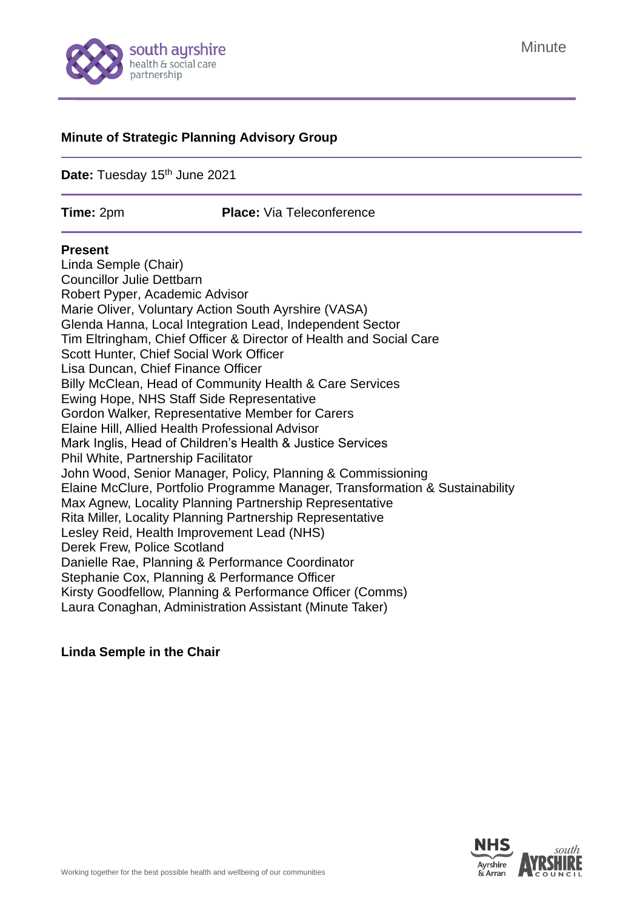

#### **Minute of Strategic Planning Advisory Group**

Date: Tuesday 15<sup>th</sup> June 2021

**Time:** 2pm **Place:** Via Teleconference

#### **Present**

Linda Semple (Chair) Councillor Julie Dettbarn Robert Pyper, Academic Advisor Marie Oliver, Voluntary Action South Ayrshire (VASA) Glenda Hanna, Local Integration Lead, Independent Sector Tim Eltringham, Chief Officer & Director of Health and Social Care Scott Hunter, Chief Social Work Officer Lisa Duncan, Chief Finance Officer Billy McClean, Head of Community Health & Care Services Ewing Hope, NHS Staff Side Representative Gordon Walker, Representative Member for Carers Elaine Hill, Allied Health Professional Advisor Mark Inglis, Head of Children's Health & Justice Services Phil White, Partnership Facilitator John Wood, Senior Manager, Policy, Planning & Commissioning Elaine McClure, Portfolio Programme Manager, Transformation & Sustainability Max Agnew, Locality Planning Partnership Representative Rita Miller, Locality Planning Partnership Representative Lesley Reid, Health Improvement Lead (NHS) Derek Frew, Police Scotland Danielle Rae, Planning & Performance Coordinator Stephanie Cox, Planning & Performance Officer Kirsty Goodfellow, Planning & Performance Officer (Comms) Laura Conaghan, Administration Assistant (Minute Taker)

#### **Linda Semple in the Chair**

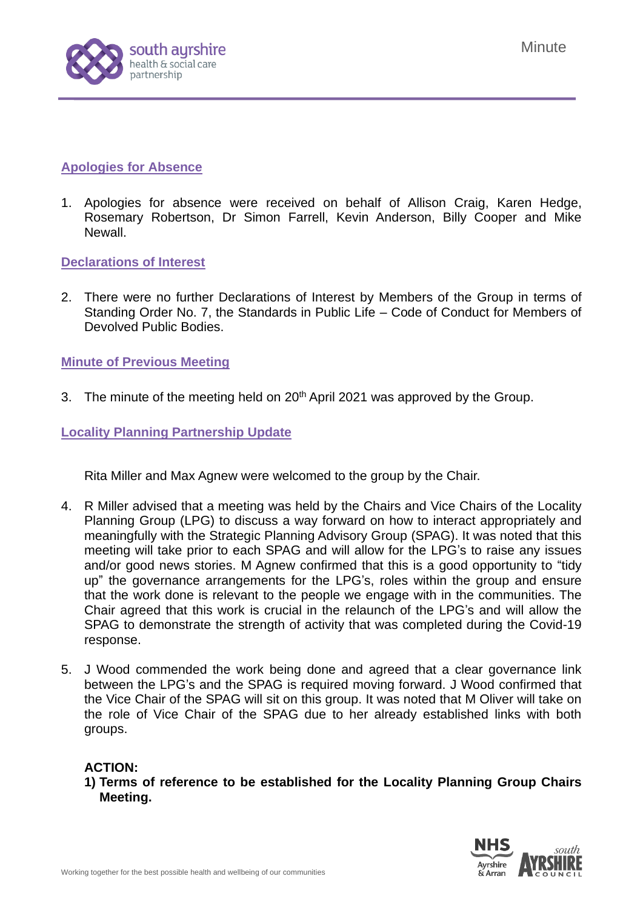

# **Apologies for Absence**

1. Apologies for absence were received on behalf of Allison Craig, Karen Hedge, Rosemary Robertson, Dr Simon Farrell, Kevin Anderson, Billy Cooper and Mike Newall.

**Declarations of Interest**

2. There were no further Declarations of Interest by Members of the Group in terms of Standing Order No. 7, the Standards in Public Life – Code of Conduct for Members of Devolved Public Bodies.

# **Minute of Previous Meeting**

3. The minute of the meeting held on 20<sup>th</sup> April 2021 was approved by the Group.

# **Locality Planning Partnership Update**

Rita Miller and Max Agnew were welcomed to the group by the Chair.

- 4. R Miller advised that a meeting was held by the Chairs and Vice Chairs of the Locality Planning Group (LPG) to discuss a way forward on how to interact appropriately and meaningfully with the Strategic Planning Advisory Group (SPAG). It was noted that this meeting will take prior to each SPAG and will allow for the LPG's to raise any issues and/or good news stories. M Agnew confirmed that this is a good opportunity to "tidy up" the governance arrangements for the LPG's, roles within the group and ensure that the work done is relevant to the people we engage with in the communities. The Chair agreed that this work is crucial in the relaunch of the LPG's and will allow the SPAG to demonstrate the strength of activity that was completed during the Covid-19 response.
- 5. J Wood commended the work being done and agreed that a clear governance link between the LPG's and the SPAG is required moving forward. J Wood confirmed that the Vice Chair of the SPAG will sit on this group. It was noted that M Oliver will take on the role of Vice Chair of the SPAG due to her already established links with both groups.

### **ACTION:**

**1) Terms of reference to be established for the Locality Planning Group Chairs Meeting.**

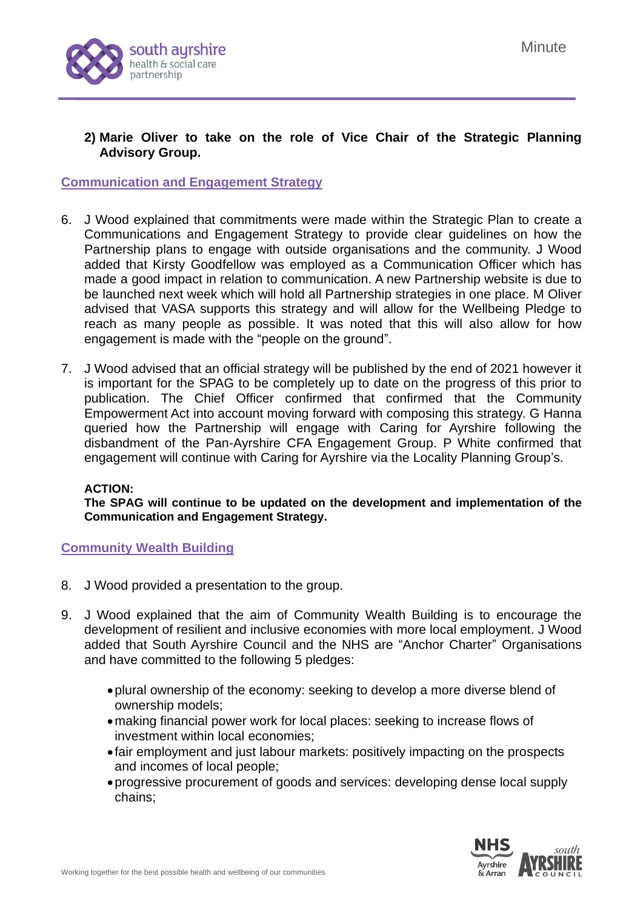

# **2) Marie Oliver to take on the role of Vice Chair of the Strategic Planning Advisory Group.**

# **Communication and Engagement Strategy**

- 6. J Wood explained that commitments were made within the Strategic Plan to create a Communications and Engagement Strategy to provide clear guidelines on how the Partnership plans to engage with outside organisations and the community. J Wood added that Kirsty Goodfellow was employed as a Communication Officer which has made a good impact in relation to communication. A new Partnership website is due to be launched next week which will hold all Partnership strategies in one place. M Oliver advised that VASA supports this strategy and will allow for the Wellbeing Pledge to reach as many people as possible. It was noted that this will also allow for how engagement is made with the "people on the ground".
- 7. J Wood advised that an official strategy will be published by the end of 2021 however it is important for the SPAG to be completely up to date on the progress of this prior to publication. The Chief Officer confirmed that confirmed that the Community Empowerment Act into account moving forward with composing this strategy. G Hanna queried how the Partnership will engage with Caring for Ayrshire following the disbandment of the Pan-Ayrshire CFA Engagement Group. P White confirmed that engagement will continue with Caring for Ayrshire via the Locality Planning Group's.

#### **ACTION:**

**The SPAG will continue to be updated on the development and implementation of the Communication and Engagement Strategy.**

#### **Community Wealth Building**

- 8. J Wood provided a presentation to the group.
- 9. J Wood explained that the aim of Community Wealth Building is to encourage the development of resilient and inclusive economies with more local employment. J Wood added that South Ayrshire Council and the NHS are "Anchor Charter" Organisations and have committed to the following 5 pledges:
	- •plural ownership of the economy: seeking to develop a more diverse blend of ownership models;
	- •making financial power work for local places: seeking to increase flows of investment within local economies;
	- fair employment and just labour markets: positively impacting on the prospects and incomes of local people;
	- •progressive procurement of goods and services: developing dense local supply chains;

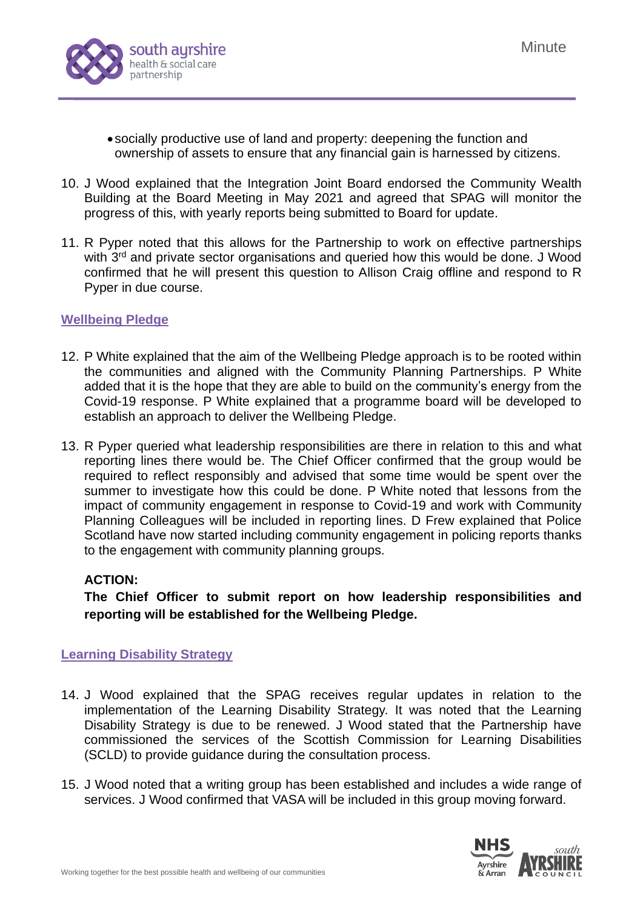

- socially productive use of land and property: deepening the function and ownership of assets to ensure that any financial gain is harnessed by citizens.
- 10. J Wood explained that the Integration Joint Board endorsed the Community Wealth Building at the Board Meeting in May 2021 and agreed that SPAG will monitor the progress of this, with yearly reports being submitted to Board for update.
- 11. R Pyper noted that this allows for the Partnership to work on effective partnerships with 3<sup>rd</sup> and private sector organisations and queried how this would be done. J Wood confirmed that he will present this question to Allison Craig offline and respond to R Pyper in due course.

# **Wellbeing Pledge**

- 12. P White explained that the aim of the Wellbeing Pledge approach is to be rooted within the communities and aligned with the Community Planning Partnerships. P White added that it is the hope that they are able to build on the community's energy from the Covid-19 response. P White explained that a programme board will be developed to establish an approach to deliver the Wellbeing Pledge.
- 13. R Pyper queried what leadership responsibilities are there in relation to this and what reporting lines there would be. The Chief Officer confirmed that the group would be required to reflect responsibly and advised that some time would be spent over the summer to investigate how this could be done. P White noted that lessons from the impact of community engagement in response to Covid-19 and work with Community Planning Colleagues will be included in reporting lines. D Frew explained that Police Scotland have now started including community engagement in policing reports thanks to the engagement with community planning groups.

### **ACTION:**

**The Chief Officer to submit report on how leadership responsibilities and reporting will be established for the Wellbeing Pledge.** 

### **Learning Disability Strategy**

- 14. J Wood explained that the SPAG receives regular updates in relation to the implementation of the Learning Disability Strategy. It was noted that the Learning Disability Strategy is due to be renewed. J Wood stated that the Partnership have commissioned the services of the Scottish Commission for Learning Disabilities (SCLD) to provide guidance during the consultation process.
- 15. J Wood noted that a writing group has been established and includes a wide range of services. J Wood confirmed that VASA will be included in this group moving forward.